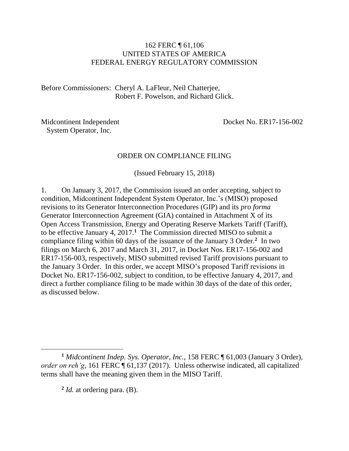#### 162 FERC ¶ 61,106 UNITED STATES OF AMERICA FEDERAL ENERGY REGULATORY COMMISSION

Before Commissioners: Cheryl A. LaFleur, Neil Chatterjee, Robert F. Powelson, and Richard Glick.

Midcontinent Independent System Operator, Inc.

Docket No. ER17-156-002

#### ORDER ON COMPLIANCE FILING

(Issued February 15, 2018)

1. On January 3, 2017, the Commission issued an order accepting, subject to condition, Midcontinent Independent System Operator, Inc.'s (MISO) proposed revisions to its Generator Interconnection Procedures (GIP) and its *pro forma* Generator Interconnection Agreement (GIA) contained in Attachment X of its Open Access Transmission, Energy and Operating Reserve Markets Tariff (Tariff), to be effective January 4, 2017.**<sup>1</sup>** The Commission directed MISO to submit a compliance filing within 60 days of the issuance of the January 3 Order.**<sup>2</sup>** In two filings on March 6, 2017 and March 31, 2017, in Docket Nos. ER17-156-002 and ER17-156-003, respectively, MISO submitted revised Tariff provisions pursuant to the January 3 Order. In this order, we accept MISO's proposed Tariff revisions in Docket No. ER17-156-002, subject to condition, to be effective January 4, 2017, and direct a further compliance filing to be made within 30 days of the date of this order, as discussed below.

**2** *Id.* at ordering para. (B).

 $\overline{a}$ 

**<sup>1</sup>** *Midcontinent Indep. Sys. Operator, Inc.*, 158 FERC ¶ 61,003 (January 3 Order), *order on reh'g*, 161 FERC ¶ 61,137 (2017). Unless otherwise indicated, all capitalized terms shall have the meaning given them in the MISO Tariff.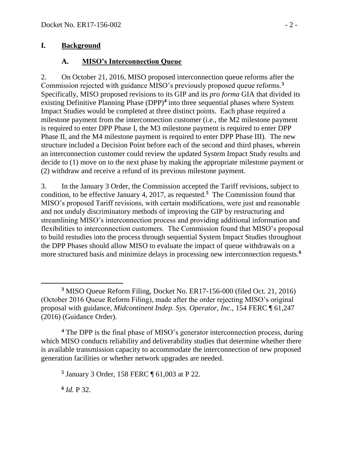#### **I. Background**

#### **A. MISO's Interconnection Queue**

2. On October 21, 2016, MISO proposed interconnection queue reforms after the Commission rejected with guidance MISO's previously proposed queue reforms.**<sup>3</sup>** Specifically, MISO proposed revisions to its GIP and its *pro forma* GIA that divided its existing Definitive Planning Phase (DPP)**<sup>4</sup>** into three sequential phases where System Impact Studies would be completed at three distinct points. Each phase required a milestone payment from the interconnection customer (i.e., the M2 milestone payment is required to enter DPP Phase I, the M3 milestone payment is required to enter DPP Phase II, and the M4 milestone payment is required to enter DPP Phase III). The new structure included a Decision Point before each of the second and third phases, wherein an interconnection customer could review the updated System Impact Study results and decide to (1) move on to the next phase by making the appropriate milestone payment or (2) withdraw and receive a refund of its previous milestone payment.

3. In the January 3 Order, the Commission accepted the Tariff revisions, subject to condition, to be effective January 4, 2017, as requested.**<sup>5</sup>** The Commission found that MISO's proposed Tariff revisions, with certain modifications, were just and reasonable and not unduly discriminatory methods of improving the GIP by restructuring and streamlining MISO's interconnection process and providing additional information and flexibilities to interconnection customers. The Commission found that MISO's proposal to build restudies into the process through sequential System Impact Studies throughout the DPP Phases should allow MISO to evaluate the impact of queue withdrawals on a more structured basis and minimize delays in processing new interconnection requests.**<sup>6</sup>**

**<sup>4</sup>** The DPP is the final phase of MISO's generator interconnection process, during which MISO conducts reliability and deliverability studies that determine whether there is available transmission capacity to accommodate the interconnection of new proposed generation facilities or whether network upgrades are needed.

**5** January 3 Order, 158 FERC ¶ 61,003 at P 22.

**6** *Id.* P 32.

 **<sup>3</sup>** MISO Queue Reform Filing, Docket No. ER17-156-000 (filed Oct. 21, 2016) (October 2016 Queue Reform Filing), made after the order rejecting MISO's original proposal with guidance, *Midcontinent Indep. Sys. Operator, Inc.*, 154 FERC ¶ 61,247 (2016) (Guidance Order).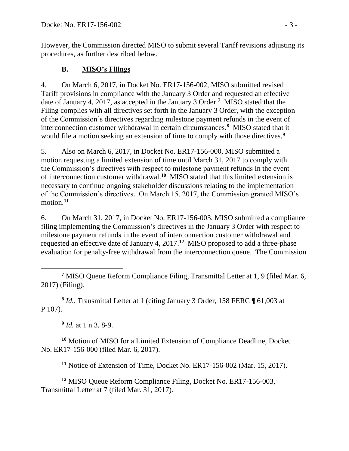However, the Commission directed MISO to submit several Tariff revisions adjusting its procedures, as further described below.

#### **B. MISO's Filings**

4. On March 6, 2017, in Docket No. ER17-156-002, MISO submitted revised Tariff provisions in compliance with the January 3 Order and requested an effective date of January 4, 2017, as accepted in the January 3 Order.**<sup>7</sup>** MISO stated that the Filing complies with all directives set forth in the January 3 Order, with the exception of the Commission's directives regarding milestone payment refunds in the event of interconnection customer withdrawal in certain circumstances. **8** MISO stated that it would file a motion seeking an extension of time to comply with those directives.**<sup>9</sup>**

5. Also on March 6, 2017, in Docket No. ER17-156-000, MISO submitted a motion requesting a limited extension of time until March 31, 2017 to comply with the Commission's directives with respect to milestone payment refunds in the event of interconnection customer withdrawal.<sup>10</sup> MISO stated that this limited extension is necessary to continue ongoing stakeholder discussions relating to the implementation of the Commission's directives. On March 15, 2017, the Commission granted MISO's motion.**<sup>11</sup>**

6. On March 31, 2017, in Docket No. ER17-156-003, MISO submitted a compliance filing implementing the Commission's directives in the January 3 Order with respect to milestone payment refunds in the event of interconnection customer withdrawal and requested an effective date of January 4, 2017. **12** MISO proposed to add a three-phase evaluation for penalty-free withdrawal from the interconnection queue. The Commission

 $\overline{a}$ **<sup>7</sup>** MISO Queue Reform Compliance Filing, Transmittal Letter at 1, 9 (filed Mar. 6, 2017) (Filing).

**8** *Id.*, Transmittal Letter at 1 (citing January 3 Order, 158 FERC ¶ 61,003 at P 107).

**9** *Id.* at 1 n.3, 8-9.

**<sup>10</sup>** Motion of MISO for a Limited Extension of Compliance Deadline, Docket No. ER17-156-000 (filed Mar. 6, 2017).

**<sup>11</sup>** Notice of Extension of Time, Docket No. ER17-156-002 (Mar. 15, 2017).

**<sup>12</sup>** MISO Queue Reform Compliance Filing, Docket No. ER17-156-003, Transmittal Letter at 7 (filed Mar. 31, 2017).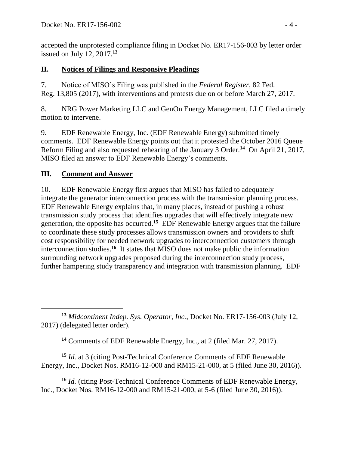accepted the unprotested compliance filing in Docket No. ER17-156-003 by letter order issued on July 12, 2017. **13**

#### **II. Notices of Filings and Responsive Pleadings**

7. Notice of MISO's Filing was published in the *Federal Register*, 82 Fed. Reg. 13,805 (2017), with interventions and protests due on or before March 27, 2017.

8. NRG Power Marketing LLC and GenOn Energy Management, LLC filed a timely motion to intervene.

9. EDF Renewable Energy, Inc. (EDF Renewable Energy) submitted timely comments. EDF Renewable Energy points out that it protested the October 2016 Queue Reform Filing and also requested rehearing of the January 3 Order.**<sup>14</sup>** On April 21, 2017, MISO filed an answer to EDF Renewable Energy's comments.

### **III. Comment and Answer**

10. EDF Renewable Energy first argues that MISO has failed to adequately integrate the generator interconnection process with the transmission planning process. EDF Renewable Energy explains that, in many places, instead of pushing a robust transmission study process that identifies upgrades that will effectively integrate new generation, the opposite has occurred.**<sup>15</sup>** EDF Renewable Energy argues that the failure to coordinate these study processes allows transmission owners and providers to shift cost responsibility for needed network upgrades to interconnection customers through interconnection studies.**<sup>16</sup>** It states that MISO does not make public the information surrounding network upgrades proposed during the interconnection study process, further hampering study transparency and integration with transmission planning. EDF

**<sup>14</sup>** Comments of EDF Renewable Energy, Inc., at 2 (filed Mar. 27, 2017).

**<sup>15</sup>** *Id.* at 3 (citing Post-Technical Conference Comments of EDF Renewable Energy, Inc., Docket Nos. RM16-12-000 and RM15-21-000, at 5 (filed June 30, 2016)).

**<sup>16</sup>** *Id.* (citing Post-Technical Conference Comments of EDF Renewable Energy, Inc., Docket Nos. RM16-12-000 and RM15-21-000, at 5-6 (filed June 30, 2016)).

 **<sup>13</sup>** *Midcontinent Indep. Sys. Operator, Inc.*, Docket No. ER17-156-003 (July 12, 2017) (delegated letter order).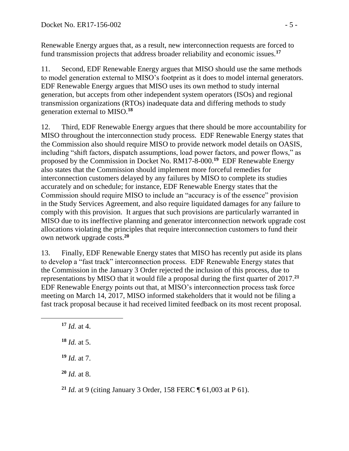Renewable Energy argues that, as a result, new interconnection requests are forced to fund transmission projects that address broader reliability and economic issues.**<sup>17</sup>**

11. Second, EDF Renewable Energy argues that MISO should use the same methods to model generation external to MISO's footprint as it does to model internal generators. EDF Renewable Energy argues that MISO uses its own method to study internal generation, but accepts from other independent system operators (ISOs) and regional transmission organizations (RTOs) inadequate data and differing methods to study generation external to MISO. **18**

12. Third, EDF Renewable Energy argues that there should be more accountability for MISO throughout the interconnection study process. EDF Renewable Energy states that the Commission also should require MISO to provide network model details on OASIS, including "shift factors, dispatch assumptions, load power factors, and power flows," as proposed by the Commission in Docket No. RM17-8-000.**<sup>19</sup>** EDF Renewable Energy also states that the Commission should implement more forceful remedies for interconnection customers delayed by any failures by MISO to complete its studies accurately and on schedule; for instance, EDF Renewable Energy states that the Commission should require MISO to include an "accuracy is of the essence" provision in the Study Services Agreement, and also require liquidated damages for any failure to comply with this provision. It argues that such provisions are particularly warranted in MISO due to its ineffective planning and generator interconnection network upgrade cost allocations violating the principles that require interconnection customers to fund their own network upgrade costs. **20**

13. Finally, EDF Renewable Energy states that MISO has recently put aside its plans to develop a "fast track" interconnection process. EDF Renewable Energy states that the Commission in the January 3 Order rejected the inclusion of this process, due to representations by MISO that it would file a proposal during the first quarter of 2017.**<sup>21</sup>** EDF Renewable Energy points out that, at MISO's interconnection process task force meeting on March 14, 2017, MISO informed stakeholders that it would not be filing a fast track proposal because it had received limited feedback on its most recent proposal.

**<sup>17</sup>** *Id.* at 4.

 $\overline{a}$ 

**<sup>18</sup>** *Id.* at 5.

**<sup>19</sup>** *Id.* at 7.

**<sup>20</sup>** *Id.* at 8.

**<sup>21</sup>** *Id.* at 9 (citing January 3 Order, 158 FERC ¶ 61,003 at P 61).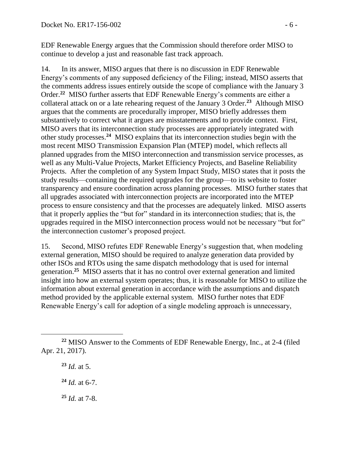EDF Renewable Energy argues that the Commission should therefore order MISO to continue to develop a just and reasonable fast track approach.

14. In its answer, MISO argues that there is no discussion in EDF Renewable Energy's comments of any supposed deficiency of the Filing; instead, MISO asserts that the comments address issues entirely outside the scope of compliance with the January 3 Order.**<sup>22</sup>** MISO further asserts that EDF Renewable Energy's comments are either a collateral attack on or a late rehearing request of the January 3 Order.**<sup>23</sup>** Although MISO argues that the comments are procedurally improper, MISO briefly addresses them substantively to correct what it argues are misstatements and to provide context. First, MISO avers that its interconnection study processes are appropriately integrated with other study processes.**<sup>24</sup>** MISO explains that its interconnection studies begin with the most recent MISO Transmission Expansion Plan (MTEP) model, which reflects all planned upgrades from the MISO interconnection and transmission service processes, as well as any Multi-Value Projects, Market Efficiency Projects, and Baseline Reliability Projects. After the completion of any System Impact Study, MISO states that it posts the study results—containing the required upgrades for the group—to its website to foster transparency and ensure coordination across planning processes. MISO further states that all upgrades associated with interconnection projects are incorporated into the MTEP process to ensure consistency and that the processes are adequately linked. MISO asserts that it properly applies the "but for" standard in its interconnection studies; that is, the upgrades required in the MISO interconnection process would not be necessary "but for" the interconnection customer's proposed project.

15. Second, MISO refutes EDF Renewable Energy's suggestion that, when modeling external generation, MISO should be required to analyze generation data provided by other ISOs and RTOs using the same dispatch methodology that is used for internal generation.**<sup>25</sup>** MISO asserts that it has no control over external generation and limited insight into how an external system operates; thus, it is reasonable for MISO to utilize the information about external generation in accordance with the assumptions and dispatch method provided by the applicable external system. MISO further notes that EDF Renewable Energy's call for adoption of a single modeling approach is unnecessary,

**<sup>23</sup>** *Id.* at 5.

**<sup>24</sup>** *Id.* at 6-7.

**<sup>25</sup>** *Id.* at 7-8.

**<sup>22</sup>** MISO Answer to the Comments of EDF Renewable Energy, Inc., at 2-4 (filed Apr. 21, 2017).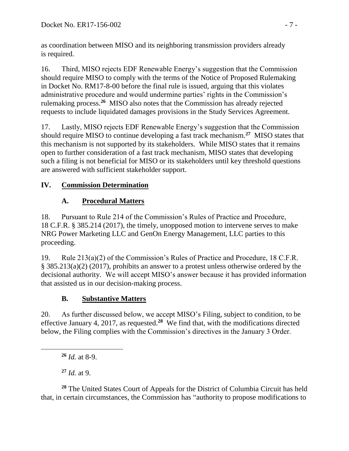as coordination between MISO and its neighboring transmission providers already is required.

16. Third, MISO rejects EDF Renewable Energy's suggestion that the Commission should require MISO to comply with the terms of the Notice of Proposed Rulemaking in Docket No. RM17-8-00 before the final rule is issued, arguing that this violates administrative procedure and would undermine parties' rights in the Commission's rulemaking process.**<sup>26</sup>** MISO also notes that the Commission has already rejected requests to include liquidated damages provisions in the Study Services Agreement.

17. Lastly, MISO rejects EDF Renewable Energy's suggestion that the Commission should require MISO to continue developing a fast track mechanism.**<sup>27</sup>** MISO states that this mechanism is not supported by its stakeholders. While MISO states that it remains open to further consideration of a fast track mechanism, MISO states that developing such a filing is not beneficial for MISO or its stakeholders until key threshold questions are answered with sufficient stakeholder support.

## **IV. Commission Determination**

# **A. Procedural Matters**

18. Pursuant to Rule 214 of the Commission's Rules of Practice and Procedure, 18 C.F.R. § 385.214 (2017), the timely, unopposed motion to intervene serves to make NRG Power Marketing LLC and GenOn Energy Management, LLC parties to this proceeding.

19. Rule 213(a)(2) of the Commission's Rules of Practice and Procedure, 18 C.F.R. § 385.213(a)(2) (2017), prohibits an answer to a protest unless otherwise ordered by the decisional authority. We will accept MISO's answer because it has provided information that assisted us in our decision-making process.

# **B. Substantive Matters**

20. As further discussed below, we accept MISO's Filing, subject to condition, to be effective January 4, 2017, as requested.**<sup>28</sup>** We find that, with the modifications directed below, the Filing complies with the Commission's directives in the January 3 Order.

 $\overline{a}$ 

**<sup>27</sup>** *Id.* at 9.

**<sup>28</sup>** The United States Court of Appeals for the District of Columbia Circuit has held that, in certain circumstances, the Commission has "authority to propose modifications to

**<sup>26</sup>** *Id.* at 8-9.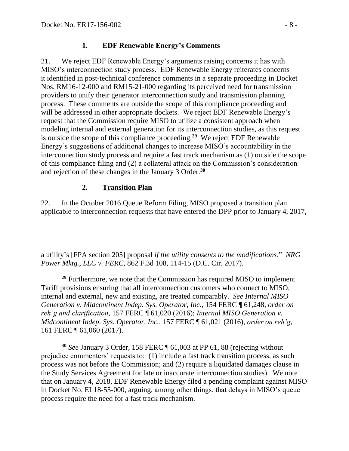#### **1. EDF Renewable Energy's Comments**

21. We reject EDF Renewable Energy's arguments raising concerns it has with MISO's interconnection study process. EDF Renewable Energy reiterates concerns it identified in post-technical conference comments in a separate proceeding in Docket Nos. RM16-12-000 and RM15-21-000 regarding its perceived need for transmission providers to unify their generator interconnection study and transmission planning process. These comments are outside the scope of this compliance proceeding and will be addressed in other appropriate dockets. We reject EDF Renewable Energy's request that the Commission require MISO to utilize a consistent approach when modeling internal and external generation for its interconnection studies, as this request is outside the scope of this compliance proceeding.**<sup>29</sup>** We reject EDF Renewable Energy's suggestions of additional changes to increase MISO's accountability in the interconnection study process and require a fast track mechanism as (1) outside the scope of this compliance filing and (2) a collateral attack on the Commission's consideration and rejection of these changes in the January 3 Order.**<sup>30</sup>**

#### **2. Transition Plan**

22. In the October 2016 Queue Reform Filing, MISO proposed a transition plan applicable to interconnection requests that have entered the DPP prior to January 4, 2017,

**<sup>29</sup>** Furthermore, we note that the Commission has required MISO to implement Tariff provisions ensuring that all interconnection customers who connect to MISO, internal and external, new and existing, are treated comparably. *See Internal MISO Generation v. Midcontinent Indep. Sys. Operator, Inc.*, 154 FERC ¶ 61,248, *order on reh'g and clarification*, 157 FERC ¶ 61,020 (2016); *Internal MISO Generation v. Midcontinent Indep. Sys. Operator, Inc.*, 157 FERC ¶ 61,021 (2016), *order on reh'g*, 161 FERC ¶ 61,060 (2017).

**<sup>30</sup>** *See* January 3 Order, 158 FERC ¶ 61,003 at PP 61, 88 (rejecting without prejudice commenters' requests to: (1) include a fast track transition process, as such process was not before the Commission; and (2) require a liquidated damages clause in the Study Services Agreement for late or inaccurate interconnection studies). We note that on January 4, 2018, EDF Renewable Energy filed a pending complaint against MISO in Docket No. EL18-55-000, arguing, among other things, that delays in MISO's queue process require the need for a fast track mechanism.

 $\overline{a}$ a utility's [FPA section 205] proposal *if the utility consents to the modifications*." *NRG Power Mktg., LLC v. FERC*, 862 F.3d 108, 114-15 (D.C. Cir. 2017).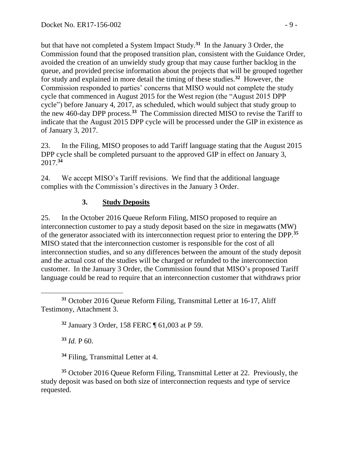but that have not completed a System Impact Study.**<sup>31</sup>** In the January 3 Order, the Commission found that the proposed transition plan, consistent with the Guidance Order, avoided the creation of an unwieldy study group that may cause further backlog in the queue, and provided precise information about the projects that will be grouped together for study and explained in more detail the timing of these studies.**<sup>32</sup>** However, the Commission responded to parties' concerns that MISO would not complete the study cycle that commenced in August 2015 for the West region (the "August 2015 DPP cycle") before January 4, 2017, as scheduled, which would subject that study group to the new 460-day DPP process.**<sup>33</sup>** The Commission directed MISO to revise the Tariff to indicate that the August 2015 DPP cycle will be processed under the GIP in existence as of January 3, 2017.

23. In the Filing, MISO proposes to add Tariff language stating that the August 2015 DPP cycle shall be completed pursuant to the approved GIP in effect on January 3, 2017.**<sup>34</sup>**

24. We accept MISO's Tariff revisions. We find that the additional language complies with the Commission's directives in the January 3 Order.

#### **3. Study Deposits**

25. In the October 2016 Queue Reform Filing, MISO proposed to require an interconnection customer to pay a study deposit based on the size in megawatts (MW) of the generator associated with its interconnection request prior to entering the DPP.**<sup>35</sup>** MISO stated that the interconnection customer is responsible for the cost of all interconnection studies, and so any differences between the amount of the study deposit and the actual cost of the studies will be charged or refunded to the interconnection customer. In the January 3 Order, the Commission found that MISO's proposed Tariff language could be read to require that an interconnection customer that withdraws prior

**<sup>32</sup>** January 3 Order, 158 FERC ¶ 61,003 at P 59.

**<sup>33</sup>** *Id.* P 60.

**<sup>34</sup>** Filing, Transmittal Letter at 4.

**<sup>35</sup>** October 2016 Queue Reform Filing, Transmittal Letter at 22. Previously, the study deposit was based on both size of interconnection requests and type of service requested.

 $\overline{a}$ **<sup>31</sup>** October 2016 Queue Reform Filing, Transmittal Letter at 16-17, Aliff Testimony, Attachment 3.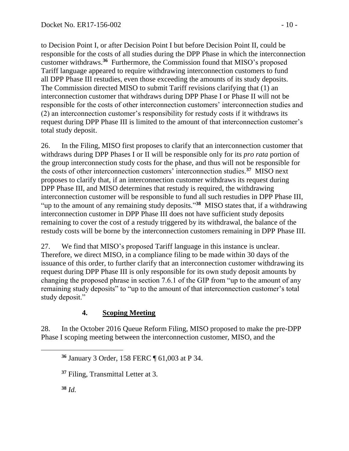to Decision Point I, or after Decision Point I but before Decision Point II, could be responsible for the costs of all studies during the DPP Phase in which the interconnection customer withdraws.**<sup>36</sup>** Furthermore, the Commission found that MISO's proposed Tariff language appeared to require withdrawing interconnection customers to fund all DPP Phase III restudies, even those exceeding the amounts of its study deposits. The Commission directed MISO to submit Tariff revisions clarifying that (1) an interconnection customer that withdraws during DPP Phase I or Phase II will not be responsible for the costs of other interconnection customers' interconnection studies and (2) an interconnection customer's responsibility for restudy costs if it withdraws its request during DPP Phase III is limited to the amount of that interconnection customer's total study deposit.

26. In the Filing, MISO first proposes to clarify that an interconnection customer that withdraws during DPP Phases I or II will be responsible only for its *pro rata* portion of the group interconnection study costs for the phase, and thus will not be responsible for the costs of other interconnection customers' interconnection studies.**<sup>37</sup>** MISO next proposes to clarify that, if an interconnection customer withdraws its request during DPP Phase III, and MISO determines that restudy is required, the withdrawing interconnection customer will be responsible to fund all such restudies in DPP Phase III, "up to the amount of any remaining study deposits."<sup>38</sup> MISO states that, if a withdrawing interconnection customer in DPP Phase III does not have sufficient study deposits remaining to cover the cost of a restudy triggered by its withdrawal, the balance of the restudy costs will be borne by the interconnection customers remaining in DPP Phase III.

27. We find that MISO's proposed Tariff language in this instance is unclear. Therefore, we direct MISO, in a compliance filing to be made within 30 days of the issuance of this order, to further clarify that an interconnection customer withdrawing its request during DPP Phase III is only responsible for its own study deposit amounts by changing the proposed phrase in section 7.6.1 of the GIP from "up to the amount of any remaining study deposits" to "up to the amount of that interconnection customer's total study deposit."

### **4. Scoping Meeting**

28. In the October 2016 Queue Reform Filing, MISO proposed to make the pre-DPP Phase I scoping meeting between the interconnection customer, MISO, and the

**<sup>38</sup>** *Id.*

**<sup>36</sup>** January 3 Order, 158 FERC ¶ 61,003 at P 34.

**<sup>37</sup>** Filing, Transmittal Letter at 3.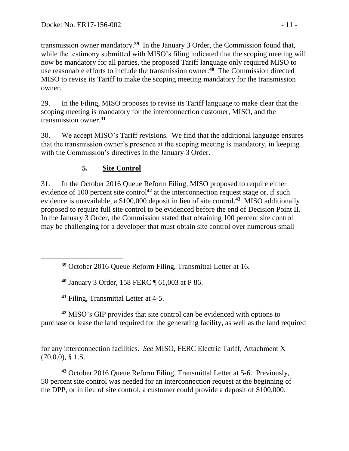transmission owner mandatory.**<sup>39</sup>** In the January 3 Order, the Commission found that, while the testimony submitted with MISO's filing indicated that the scoping meeting will now be mandatory for all parties, the proposed Tariff language only required MISO to use reasonable efforts to include the transmission owner.**<sup>40</sup>** The Commission directed MISO to revise its Tariff to make the scoping meeting mandatory for the transmission owner.

29. In the Filing, MISO proposes to revise its Tariff language to make clear that the scoping meeting is mandatory for the interconnection customer, MISO, and the transmission owner.**<sup>41</sup>**

30. We accept MISO's Tariff revisions. We find that the additional language ensures that the transmission owner's presence at the scoping meeting is mandatory, in keeping with the Commission's directives in the January 3 Order.

### **5. Site Control**

31. In the October 2016 Queue Reform Filing, MISO proposed to require either evidence of 100 percent site control<sup>42</sup> at the interconnection request stage or, if such evidence is unavailable, a \$100,000 deposit in lieu of site control.**<sup>43</sup>** MISO additionally proposed to require full site control to be evidenced before the end of Decision Point II. In the January 3 Order, the Commission stated that obtaining 100 percent site control may be challenging for a developer that must obtain site control over numerous small

**<sup>40</sup>** January 3 Order, 158 FERC ¶ 61,003 at P 86.

**<sup>41</sup>** Filing, Transmittal Letter at 4-5.

 $\overline{a}$ 

**<sup>42</sup>** MISO's GIP provides that site control can be evidenced with options to purchase or lease the land required for the generating facility, as well as the land required

for any interconnection facilities. *See* MISO, FERC Electric Tariff, Attachment X (70.0.0), § 1.S.

**<sup>43</sup>** October 2016 Queue Reform Filing, Transmittal Letter at 5-6. Previously, 50 percent site control was needed for an interconnection request at the beginning of the DPP, or in lieu of site control, a customer could provide a deposit of \$100,000.

**<sup>39</sup>** October 2016 Queue Reform Filing, Transmittal Letter at 16.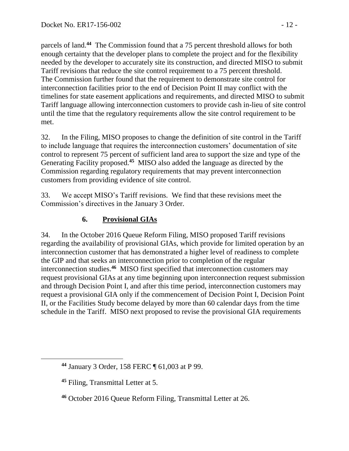parcels of land.**<sup>44</sup>** The Commission found that a 75 percent threshold allows for both enough certainty that the developer plans to complete the project and for the flexibility needed by the developer to accurately site its construction, and directed MISO to submit Tariff revisions that reduce the site control requirement to a 75 percent threshold. The Commission further found that the requirement to demonstrate site control for interconnection facilities prior to the end of Decision Point II may conflict with the timelines for state easement applications and requirements, and directed MISO to submit Tariff language allowing interconnection customers to provide cash in-lieu of site control until the time that the regulatory requirements allow the site control requirement to be met.

32. In the Filing, MISO proposes to change the definition of site control in the Tariff to include language that requires the interconnection customers' documentation of site control to represent 75 percent of sufficient land area to support the size and type of the Generating Facility proposed.**<sup>45</sup>** MISO also added the language as directed by the Commission regarding regulatory requirements that may prevent interconnection customers from providing evidence of site control.

33. We accept MISO's Tariff revisions. We find that these revisions meet the Commission's directives in the January 3 Order.

### **6. Provisional GIAs**

34. In the October 2016 Queue Reform Filing, MISO proposed Tariff revisions regarding the availability of provisional GIAs, which provide for limited operation by an interconnection customer that has demonstrated a higher level of readiness to complete the GIP and that seeks an interconnection prior to completion of the regular interconnection studies.**<sup>46</sup>** MISO first specified that interconnection customers may request provisional GIAs at any time beginning upon interconnection request submission and through Decision Point I, and after this time period, interconnection customers may request a provisional GIA only if the commencement of Decision Point I, Decision Point II, or the Facilities Study become delayed by more than 60 calendar days from the time schedule in the Tariff. MISO next proposed to revise the provisional GIA requirements

**<sup>44</sup>** January 3 Order, 158 FERC ¶ 61,003 at P 99.

**<sup>45</sup>** Filing, Transmittal Letter at 5.

**<sup>46</sup>** October 2016 Queue Reform Filing, Transmittal Letter at 26.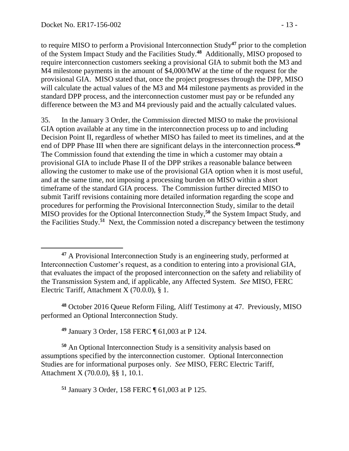$\overline{a}$ 

to require MISO to perform a Provisional Interconnection Study**<sup>47</sup>** prior to the completion of the System Impact Study and the Facilities Study. **48** Additionally, MISO proposed to require interconnection customers seeking a provisional GIA to submit both the M3 and M4 milestone payments in the amount of \$4,000/MW at the time of the request for the provisional GIA. MISO stated that, once the project progresses through the DPP, MISO will calculate the actual values of the M3 and M4 milestone payments as provided in the standard DPP process, and the interconnection customer must pay or be refunded any difference between the M3 and M4 previously paid and the actually calculated values.

35. In the January 3 Order, the Commission directed MISO to make the provisional GIA option available at any time in the interconnection process up to and including Decision Point II, regardless of whether MISO has failed to meet its timelines, and at the end of DPP Phase III when there are significant delays in the interconnection process.**<sup>49</sup>** The Commission found that extending the time in which a customer may obtain a provisional GIA to include Phase II of the DPP strikes a reasonable balance between allowing the customer to make use of the provisional GIA option when it is most useful, and at the same time, not imposing a processing burden on MISO within a short timeframe of the standard GIA process. The Commission further directed MISO to submit Tariff revisions containing more detailed information regarding the scope and procedures for performing the Provisional Interconnection Study, similar to the detail MISO provides for the Optional Interconnection Study, **<sup>50</sup>** the System Impact Study, and the Facilities Study.**<sup>51</sup>** Next, the Commission noted a discrepancy between the testimony

**<sup>48</sup>** October 2016 Queue Reform Filing, Aliff Testimony at 47. Previously, MISO performed an Optional Interconnection Study.

**<sup>49</sup>** January 3 Order, 158 FERC ¶ 61,003 at P 124.

**<sup>50</sup>** An Optional Interconnection Study is a sensitivity analysis based on assumptions specified by the interconnection customer. Optional Interconnection Studies are for informational purposes only. *See* MISO, FERC Electric Tariff, Attachment X (70.0.0), §§ 1, 10.1.

**<sup>51</sup>** January 3 Order, 158 FERC ¶ 61,003 at P 125.

**<sup>47</sup>** A Provisional Interconnection Study is an engineering study, performed at Interconnection Customer's request, as a condition to entering into a provisional GIA, that evaluates the impact of the proposed interconnection on the safety and reliability of the Transmission System and, if applicable, any Affected System. *See* MISO, FERC Electric Tariff, Attachment X (70.0.0), § 1.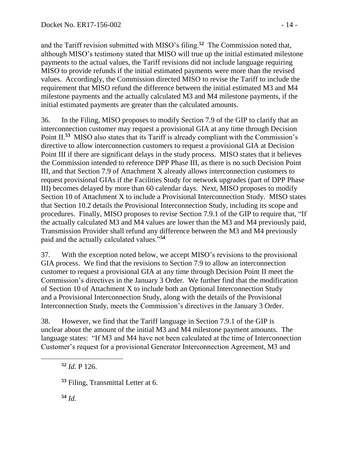and the Tariff revision submitted with MISO's filing.**<sup>52</sup>** The Commission noted that, although MISO's testimony stated that MISO will true up the initial estimated milestone payments to the actual values, the Tariff revisions did not include language requiring MISO to provide refunds if the initial estimated payments were more than the revised values. Accordingly, the Commission directed MISO to revise the Tariff to include the requirement that MISO refund the difference between the initial estimated M3 and M4 milestone payments and the actually calculated M3 and M4 milestone payments, if the initial estimated payments are greater than the calculated amounts.

36. In the Filing, MISO proposes to modify Section 7.9 of the GIP to clarify that an interconnection customer may request a provisional GIA at any time through Decision Point II.<sup>53</sup> MISO also states that its Tariff is already compliant with the Commission's directive to allow interconnection customers to request a provisional GIA at Decision Point III if there are significant delays in the study process. MISO states that it believes the Commission intended to reference DPP Phase III, as there is no such Decision Point III, and that Section 7.9 of Attachment X already allows interconnection customers to request provisional GIAs if the Facilities Study for network upgrades (part of DPP Phase III) becomes delayed by more than 60 calendar days. Next, MISO proposes to modify Section 10 of Attachment X to include a Provisional Interconnection Study. MISO states that Section 10.2 details the Provisional Interconnection Study, including its scope and procedures. Finally, MISO proposes to revise Section 7.9.1 of the GIP to require that, "If the actually calculated M3 and M4 values are lower than the M3 and M4 previously paid, Transmission Provider shall refund any difference between the M3 and M4 previously paid and the actually calculated values."**<sup>54</sup>**

37. With the exception noted below, we accept MISO's revisions to the provisional GIA process. We find that the revisions to Section 7.9 to allow an interconnection customer to request a provisional GIA at any time through Decision Point II meet the Commission's directives in the January 3 Order. We further find that the modification of Section 10 of Attachment X to include both an Optional Interconnection Study and a Provisional Interconnection Study, along with the details of the Provisional Interconnection Study, meets the Commission's directives in the January 3 Order.

38. However, we find that the Tariff language in Section 7.9.1 of the GIP is unclear about the amount of the initial M3 and M4 milestone payment amounts. The language states: "If M3 and M4 have not been calculated at the time of Interconnection Customer's request for a provisional Generator Interconnection Agreement, M3 and

**<sup>52</sup>** *Id.* P 126.

**<sup>53</sup>** Filing, Transmittal Letter at 6.

**<sup>54</sup>** *Id.*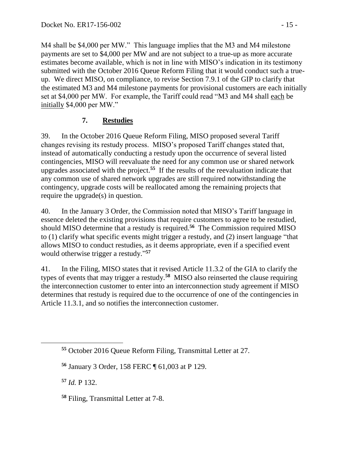M4 shall be \$4,000 per MW." This language implies that the M3 and M4 milestone payments are set to \$4,000 per MW and are not subject to a true-up as more accurate estimates become available, which is not in line with MISO's indication in its testimony submitted with the October 2016 Queue Reform Filing that it would conduct such a trueup. We direct MISO, on compliance, to revise Section 7.9.1 of the GIP to clarify that the estimated M3 and M4 milestone payments for provisional customers are each initially set at \$4,000 per MW. For example, the Tariff could read "M3 and M4 shall each be initially \$4,000 per MW."

#### **7. Restudies**

39. In the October 2016 Queue Reform Filing, MISO proposed several Tariff changes revising its restudy process. MISO's proposed Tariff changes stated that, instead of automatically conducting a restudy upon the occurrence of several listed contingencies, MISO will reevaluate the need for any common use or shared network upgrades associated with the project. **55** If the results of the reevaluation indicate that any common use of shared network upgrades are still required notwithstanding the contingency, upgrade costs will be reallocated among the remaining projects that require the upgrade(s) in question.

40. In the January 3 Order, the Commission noted that MISO's Tariff language in essence deleted the existing provisions that require customers to agree to be restudied, should MISO determine that a restudy is required.**<sup>56</sup>** The Commission required MISO to (1) clarify what specific events might trigger a restudy, and (2) insert language "that allows MISO to conduct restudies, as it deems appropriate, even if a specified event would otherwise trigger a restudy." **57**

41. In the Filing, MISO states that it revised Article 11.3.2 of the GIA to clarify the types of events that may trigger a restudy.**<sup>58</sup>** MISO also reinserted the clause requiring the interconnection customer to enter into an interconnection study agreement if MISO determines that restudy is required due to the occurrence of one of the contingencies in Article 11.3.1, and so notifies the interconnection customer.

**<sup>57</sup>** *Id.* P 132.

**<sup>55</sup>** October 2016 Queue Reform Filing, Transmittal Letter at 27.

**<sup>56</sup>** January 3 Order, 158 FERC ¶ 61,003 at P 129.

**<sup>58</sup>** Filing, Transmittal Letter at 7-8.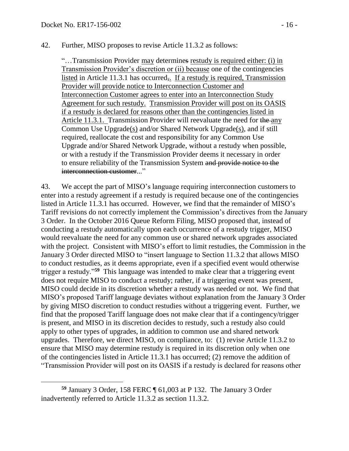#### 42. Further, MISO proposes to revise Article 11.3.2 as follows:

"…Transmission Provider may determines restudy is required either: (i) in Transmission Provider's discretion or (ii) because one of the contingencies listed in Article 11.3.1 has occurred,. If a restudy is required, Transmission Provider will provide notice to Interconnection Customer and Interconnection Customer agrees to enter into an Interconnection Study Agreement for such restudy. Transmission Provider will post on its OASIS if a restudy is declared for reasons other than the contingencies listed in Article 11.3.1. Transmission Provider will reevaluate the need for the any Common Use Upgrade(s) and/or Shared Network Upgrade(s), and if still required, reallocate the cost and responsibility for any Common Use Upgrade and/or Shared Network Upgrade, without a restudy when possible, or with a restudy if the Transmission Provider deems it necessary in order to ensure reliability of the Transmission System and provide notice to the interconnection customer..."

43. We accept the part of MISO's language requiring interconnection customers to enter into a restudy agreement if a restudy is required because one of the contingencies listed in Article 11.3.1 has occurred. However, we find that the remainder of MISO's Tariff revisions do not correctly implement the Commission's directives from the January 3 Order. In the October 2016 Queue Reform Filing, MISO proposed that, instead of conducting a restudy automatically upon each occurrence of a restudy trigger, MISO would reevaluate the need for any common use or shared network upgrades associated with the project. Consistent with MISO's effort to limit restudies, the Commission in the January 3 Order directed MISO to "insert language to Section 11.3.2 that allows MISO to conduct restudies, as it deems appropriate, even if a specified event would otherwise trigger a restudy."**<sup>59</sup>** This language was intended to make clear that a triggering event does not require MISO to conduct a restudy; rather, if a triggering event was present, MISO could decide in its discretion whether a restudy was needed or not. We find that MISO's proposed Tariff language deviates without explanation from the January 3 Order by giving MISO discretion to conduct restudies without a triggering event. Further, we find that the proposed Tariff language does not make clear that if a contingency/trigger is present, and MISO in its discretion decides to restudy, such a restudy also could apply to other types of upgrades, in addition to common use and shared network upgrades. Therefore, we direct MISO, on compliance, to: (1) revise Article 11.3.2 to ensure that MISO may determine restudy is required in its discretion only when one of the contingencies listed in Article 11.3.1 has occurred; (2) remove the addition of "Transmission Provider will post on its OASIS if a restudy is declared for reasons other

**<sup>59</sup>** January 3 Order, 158 FERC ¶ 61,003 at P 132. The January 3 Order inadvertently referred to Article 11.3.2 as section 11.3.2.